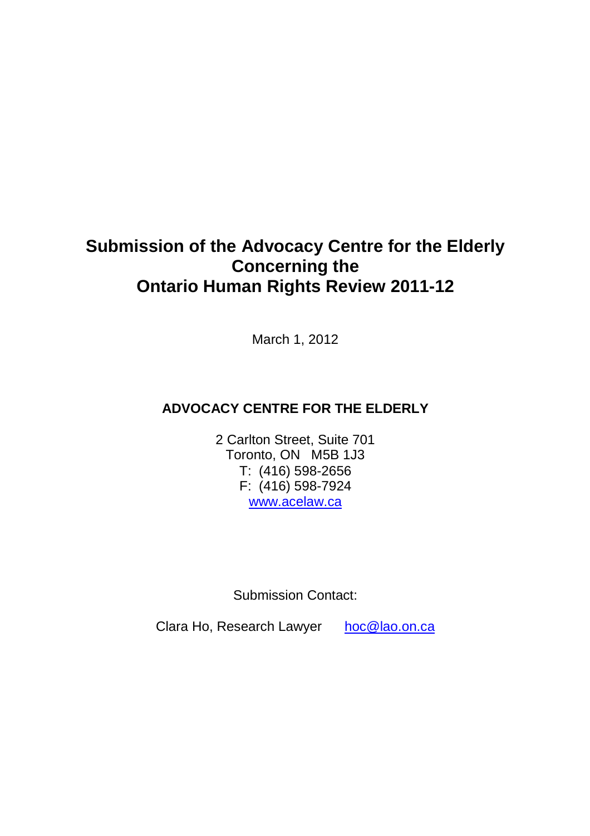# **Submission of the Advocacy Centre for the Elderly Concerning the Ontario Human Rights Review 2011-12**

March 1, 2012

## **ADVOCACY CENTRE FOR THE ELDERLY**

2 Carlton Street, Suite 701 Toronto, ON M5B 1J3 T: (416) 598-2656 F: (416) 598-7924 www.acelaw.ca

Submission Contact:

Clara Ho, Research Lawyer hoc@lao.on.ca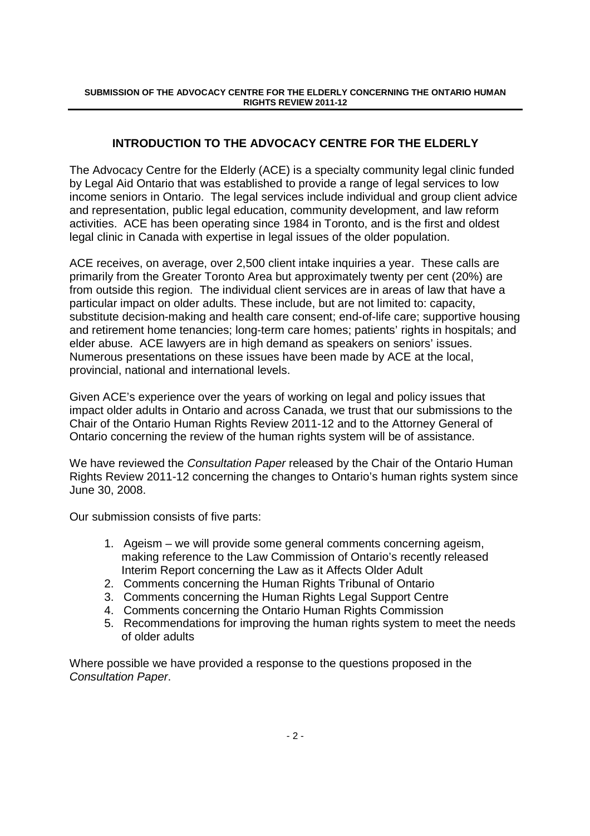## **INTRODUCTION TO THE ADVOCACY CENTRE FOR THE ELDERLY**

The Advocacy Centre for the Elderly (ACE) is a specialty community legal clinic funded by Legal Aid Ontario that was established to provide a range of legal services to low income seniors in Ontario. The legal services include individual and group client advice and representation, public legal education, community development, and law reform activities. ACE has been operating since 1984 in Toronto, and is the first and oldest legal clinic in Canada with expertise in legal issues of the older population.

ACE receives, on average, over 2,500 client intake inquiries a year. These calls are primarily from the Greater Toronto Area but approximately twenty per cent (20%) are from outside this region. The individual client services are in areas of law that have a particular impact on older adults. These include, but are not limited to: capacity, substitute decision-making and health care consent; end-of-life care; supportive housing and retirement home tenancies; long-term care homes; patients' rights in hospitals; and elder abuse. ACE lawyers are in high demand as speakers on seniors' issues. Numerous presentations on these issues have been made by ACE at the local, provincial, national and international levels.

Given ACE's experience over the years of working on legal and policy issues that impact older adults in Ontario and across Canada, we trust that our submissions to the Chair of the Ontario Human Rights Review 2011-12 and to the Attorney General of Ontario concerning the review of the human rights system will be of assistance.

We have reviewed the Consultation Paper released by the Chair of the Ontario Human Rights Review 2011-12 concerning the changes to Ontario's human rights system since June 30, 2008.

Our submission consists of five parts:

- 1. Ageism we will provide some general comments concerning ageism, making reference to the Law Commission of Ontario's recently released Interim Report concerning the Law as it Affects Older Adult
- 2. Comments concerning the Human Rights Tribunal of Ontario
- 3. Comments concerning the Human Rights Legal Support Centre
- 4. Comments concerning the Ontario Human Rights Commission
- 5. Recommendations for improving the human rights system to meet the needs of older adults

Where possible we have provided a response to the questions proposed in the Consultation Paper.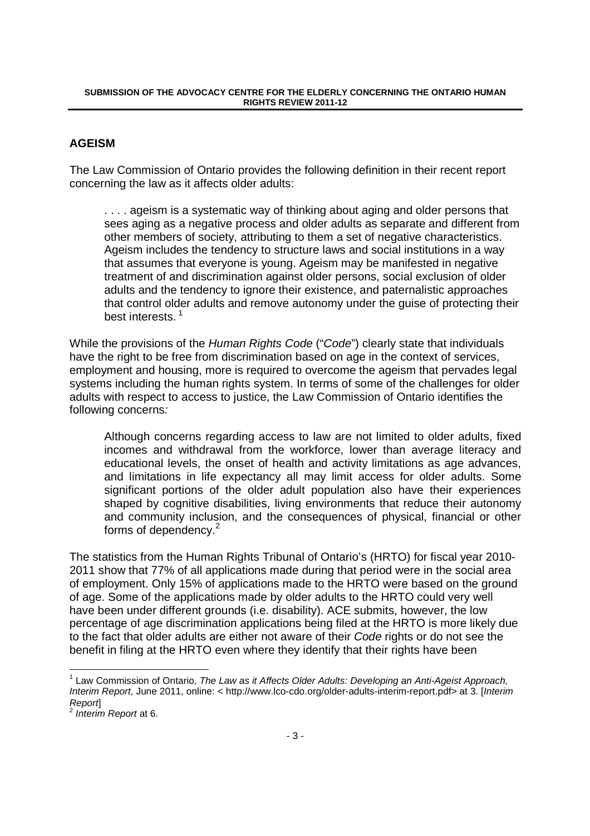## **AGEISM**

The Law Commission of Ontario provides the following definition in their recent report concerning the law as it affects older adults:

.... ageism is a systematic way of thinking about aging and older persons that sees aging as a negative process and older adults as separate and different from other members of society, attributing to them a set of negative characteristics. Ageism includes the tendency to structure laws and social institutions in a way that assumes that everyone is young. Ageism may be manifested in negative treatment of and discrimination against older persons, social exclusion of older adults and the tendency to ignore their existence, and paternalistic approaches that control older adults and remove autonomy under the guise of protecting their best interests.<sup>1</sup>

While the provisions of the Human Rights Code ("Code") clearly state that individuals have the right to be free from discrimination based on age in the context of services, employment and housing, more is required to overcome the ageism that pervades legal systems including the human rights system. In terms of some of the challenges for older adults with respect to access to justice, the Law Commission of Ontario identifies the following concerns:

Although concerns regarding access to law are not limited to older adults, fixed incomes and withdrawal from the workforce, lower than average literacy and educational levels, the onset of health and activity limitations as age advances, and limitations in life expectancy all may limit access for older adults. Some significant portions of the older adult population also have their experiences shaped by cognitive disabilities, living environments that reduce their autonomy and community inclusion, and the consequences of physical, financial or other forms of dependency.<sup>2</sup>

The statistics from the Human Rights Tribunal of Ontario's (HRTO) for fiscal year 2010-2011 show that 77% of all applications made during that period were in the social area of employment. Only 15% of applications made to the HRTO were based on the ground of age. Some of the applications made by older adults to the HRTO could very well have been under different grounds (i.e. disability). ACE submits, however, the low percentage of age discrimination applications being filed at the HRTO is more likely due to the fact that older adults are either not aware of their Code rights or do not see the benefit in filing at the HRTO even where they identify that their rights have been

-

<sup>&</sup>lt;sup>1</sup> Law Commission of Ontario, The Law as it Affects Older Adults: Developing an Anti-Ageist Approach, Interim Report, June 2011, online: < http://www.lco-cdo.org/older-adults-interim-report.pdf> at 3. [Interim Report]

<sup>&</sup>lt;sup>2</sup> Interim Report at 6.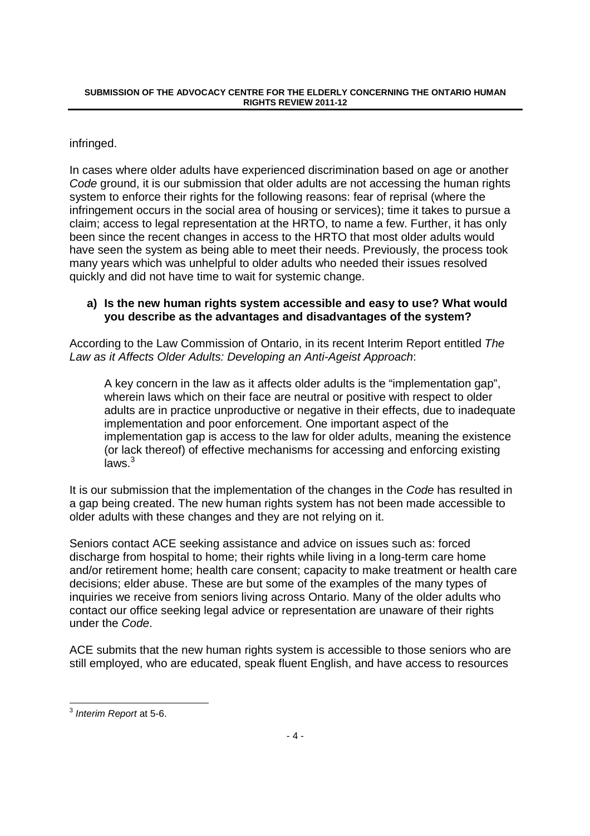infringed.

In cases where older adults have experienced discrimination based on age or another Code ground, it is our submission that older adults are not accessing the human rights system to enforce their rights for the following reasons: fear of reprisal (where the infringement occurs in the social area of housing or services); time it takes to pursue a claim; access to legal representation at the HRTO, to name a few. Further, it has only been since the recent changes in access to the HRTO that most older adults would have seen the system as being able to meet their needs. Previously, the process took many years which was unhelpful to older adults who needed their issues resolved quickly and did not have time to wait for systemic change.

## **a) Is the new human rights system accessible and easy to use? What would you describe as the advantages and disadvantages of the system?**

According to the Law Commission of Ontario, in its recent Interim Report entitled The Law as it Affects Older Adults: Developing an Anti-Ageist Approach:

A key concern in the law as it affects older adults is the "implementation gap", wherein laws which on their face are neutral or positive with respect to older adults are in practice unproductive or negative in their effects, due to inadequate implementation and poor enforcement. One important aspect of the implementation gap is access to the law for older adults, meaning the existence (or lack thereof) of effective mechanisms for accessing and enforcing existing laws.<sup>3</sup>

It is our submission that the implementation of the changes in the Code has resulted in a gap being created. The new human rights system has not been made accessible to older adults with these changes and they are not relying on it.

Seniors contact ACE seeking assistance and advice on issues such as: forced discharge from hospital to home; their rights while living in a long-term care home and/or retirement home; health care consent; capacity to make treatment or health care decisions; elder abuse. These are but some of the examples of the many types of inquiries we receive from seniors living across Ontario. Many of the older adults who contact our office seeking legal advice or representation are unaware of their rights under the Code.

ACE submits that the new human rights system is accessible to those seniors who are still employed, who are educated, speak fluent English, and have access to resources

 3 Interim Report at 5-6.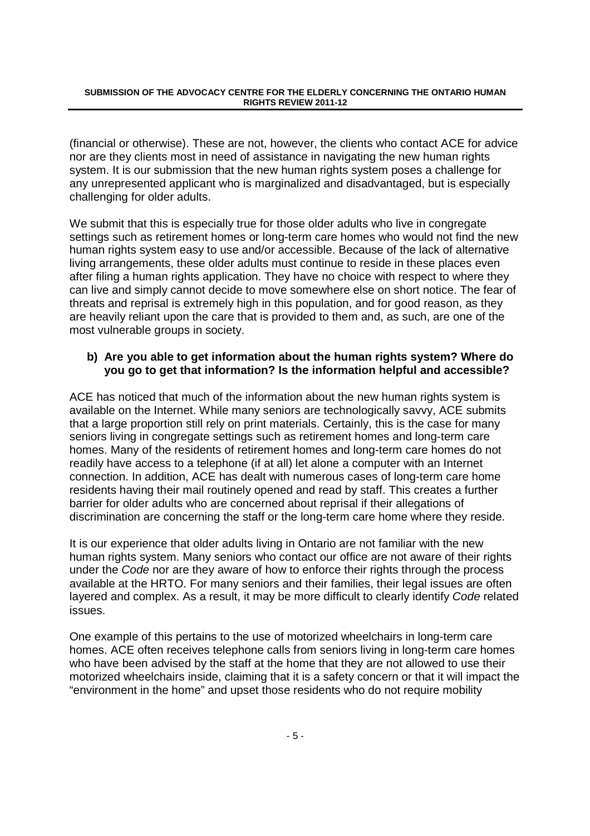(financial or otherwise). These are not, however, the clients who contact ACE for advice nor are they clients most in need of assistance in navigating the new human rights system. It is our submission that the new human rights system poses a challenge for any unrepresented applicant who is marginalized and disadvantaged, but is especially challenging for older adults.

We submit that this is especially true for those older adults who live in congregate settings such as retirement homes or long-term care homes who would not find the new human rights system easy to use and/or accessible. Because of the lack of alternative living arrangements, these older adults must continue to reside in these places even after filing a human rights application. They have no choice with respect to where they can live and simply cannot decide to move somewhere else on short notice. The fear of threats and reprisal is extremely high in this population, and for good reason, as they are heavily reliant upon the care that is provided to them and, as such, are one of the most vulnerable groups in society.

### **b) Are you able to get information about the human rights system? Where do you go to get that information? Is the information helpful and accessible?**

ACE has noticed that much of the information about the new human rights system is available on the Internet. While many seniors are technologically savvy, ACE submits that a large proportion still rely on print materials. Certainly, this is the case for many seniors living in congregate settings such as retirement homes and long-term care homes. Many of the residents of retirement homes and long-term care homes do not readily have access to a telephone (if at all) let alone a computer with an Internet connection. In addition, ACE has dealt with numerous cases of long-term care home residents having their mail routinely opened and read by staff. This creates a further barrier for older adults who are concerned about reprisal if their allegations of discrimination are concerning the staff or the long-term care home where they reside.

It is our experience that older adults living in Ontario are not familiar with the new human rights system. Many seniors who contact our office are not aware of their rights under the Code nor are they aware of how to enforce their rights through the process available at the HRTO. For many seniors and their families, their legal issues are often layered and complex. As a result, it may be more difficult to clearly identify Code related issues.

One example of this pertains to the use of motorized wheelchairs in long-term care homes. ACE often receives telephone calls from seniors living in long-term care homes who have been advised by the staff at the home that they are not allowed to use their motorized wheelchairs inside, claiming that it is a safety concern or that it will impact the "environment in the home" and upset those residents who do not require mobility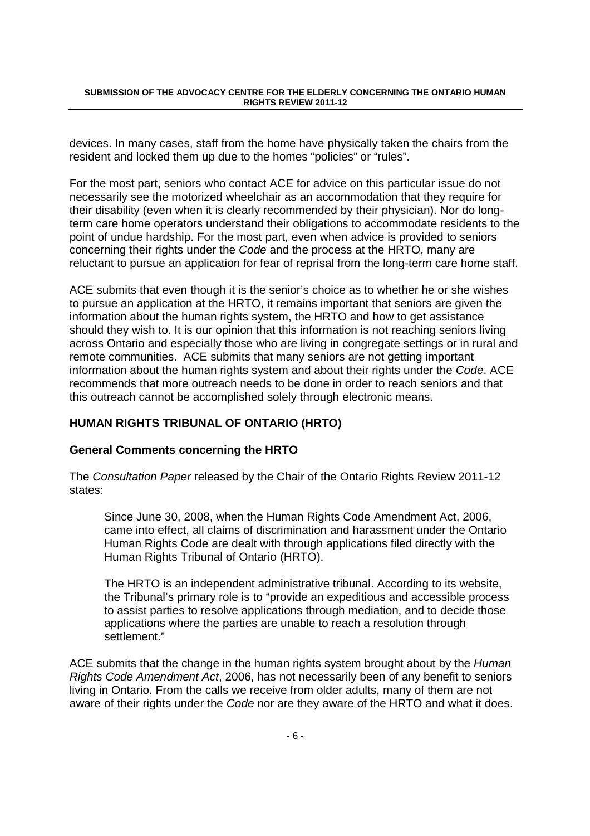devices. In many cases, staff from the home have physically taken the chairs from the resident and locked them up due to the homes "policies" or "rules".

For the most part, seniors who contact ACE for advice on this particular issue do not necessarily see the motorized wheelchair as an accommodation that they require for their disability (even when it is clearly recommended by their physician). Nor do longterm care home operators understand their obligations to accommodate residents to the point of undue hardship. For the most part, even when advice is provided to seniors concerning their rights under the Code and the process at the HRTO, many are reluctant to pursue an application for fear of reprisal from the long-term care home staff.

ACE submits that even though it is the senior's choice as to whether he or she wishes to pursue an application at the HRTO, it remains important that seniors are given the information about the human rights system, the HRTO and how to get assistance should they wish to. It is our opinion that this information is not reaching seniors living across Ontario and especially those who are living in congregate settings or in rural and remote communities. ACE submits that many seniors are not getting important information about the human rights system and about their rights under the Code. ACE recommends that more outreach needs to be done in order to reach seniors and that this outreach cannot be accomplished solely through electronic means.

## **HUMAN RIGHTS TRIBUNAL OF ONTARIO (HRTO)**

#### **General Comments concerning the HRTO**

The Consultation Paper released by the Chair of the Ontario Rights Review 2011-12 states:

Since June 30, 2008, when the Human Rights Code Amendment Act, 2006, came into effect, all claims of discrimination and harassment under the Ontario Human Rights Code are dealt with through applications filed directly with the Human Rights Tribunal of Ontario (HRTO).

The HRTO is an independent administrative tribunal. According to its website, the Tribunal's primary role is to "provide an expeditious and accessible process to assist parties to resolve applications through mediation, and to decide those applications where the parties are unable to reach a resolution through settlement."

ACE submits that the change in the human rights system brought about by the Human Rights Code Amendment Act, 2006, has not necessarily been of any benefit to seniors living in Ontario. From the calls we receive from older adults, many of them are not aware of their rights under the Code nor are they aware of the HRTO and what it does.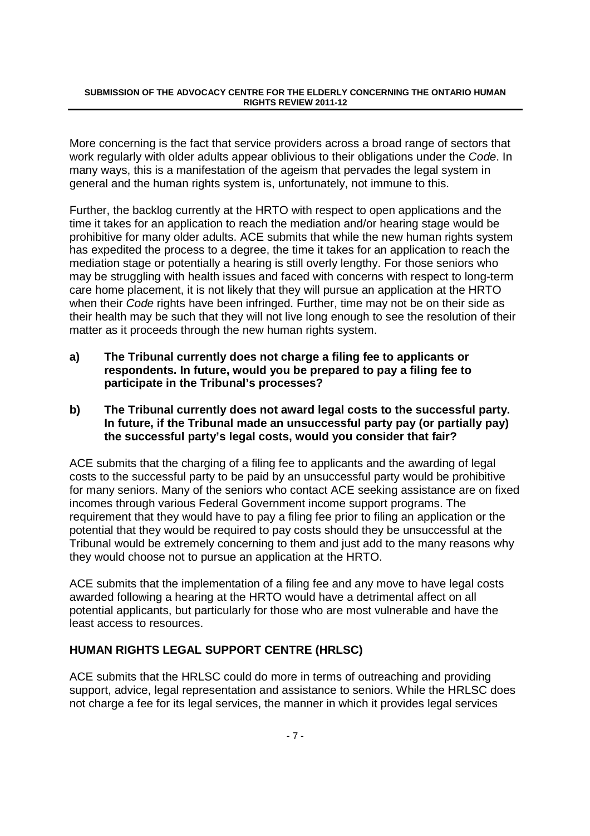More concerning is the fact that service providers across a broad range of sectors that work regularly with older adults appear oblivious to their obligations under the Code. In many ways, this is a manifestation of the ageism that pervades the legal system in general and the human rights system is, unfortunately, not immune to this.

Further, the backlog currently at the HRTO with respect to open applications and the time it takes for an application to reach the mediation and/or hearing stage would be prohibitive for many older adults. ACE submits that while the new human rights system has expedited the process to a degree, the time it takes for an application to reach the mediation stage or potentially a hearing is still overly lengthy. For those seniors who may be struggling with health issues and faced with concerns with respect to long-term care home placement, it is not likely that they will pursue an application at the HRTO when their Code rights have been infringed. Further, time may not be on their side as their health may be such that they will not live long enough to see the resolution of their matter as it proceeds through the new human rights system.

**a) The Tribunal currently does not charge a filing fee to applicants or respondents. In future, would you be prepared to pay a filing fee to participate in the Tribunal's processes?** 

### **b) The Tribunal currently does not award legal costs to the successful party. In future, if the Tribunal made an unsuccessful party pay (or partially pay) the successful party's legal costs, would you consider that fair?**

ACE submits that the charging of a filing fee to applicants and the awarding of legal costs to the successful party to be paid by an unsuccessful party would be prohibitive for many seniors. Many of the seniors who contact ACE seeking assistance are on fixed incomes through various Federal Government income support programs. The requirement that they would have to pay a filing fee prior to filing an application or the potential that they would be required to pay costs should they be unsuccessful at the Tribunal would be extremely concerning to them and just add to the many reasons why they would choose not to pursue an application at the HRTO.

ACE submits that the implementation of a filing fee and any move to have legal costs awarded following a hearing at the HRTO would have a detrimental affect on all potential applicants, but particularly for those who are most vulnerable and have the least access to resources.

## **HUMAN RIGHTS LEGAL SUPPORT CENTRE (HRLSC)**

ACE submits that the HRLSC could do more in terms of outreaching and providing support, advice, legal representation and assistance to seniors. While the HRLSC does not charge a fee for its legal services, the manner in which it provides legal services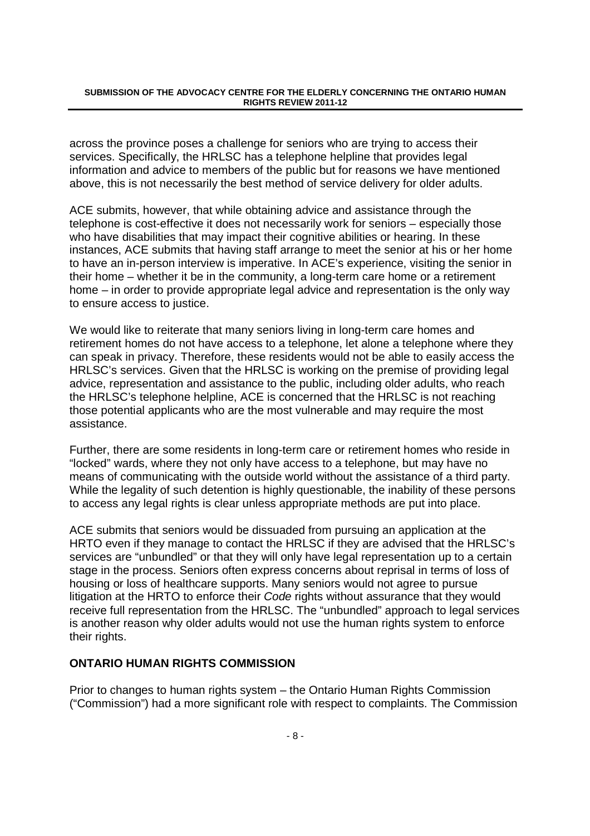across the province poses a challenge for seniors who are trying to access their services. Specifically, the HRLSC has a telephone helpline that provides legal information and advice to members of the public but for reasons we have mentioned above, this is not necessarily the best method of service delivery for older adults.

ACE submits, however, that while obtaining advice and assistance through the telephone is cost-effective it does not necessarily work for seniors – especially those who have disabilities that may impact their cognitive abilities or hearing. In these instances, ACE submits that having staff arrange to meet the senior at his or her home to have an in-person interview is imperative. In ACE's experience, visiting the senior in their home – whether it be in the community, a long-term care home or a retirement home – in order to provide appropriate legal advice and representation is the only way to ensure access to justice.

We would like to reiterate that many seniors living in long-term care homes and retirement homes do not have access to a telephone, let alone a telephone where they can speak in privacy. Therefore, these residents would not be able to easily access the HRLSC's services. Given that the HRLSC is working on the premise of providing legal advice, representation and assistance to the public, including older adults, who reach the HRLSC's telephone helpline, ACE is concerned that the HRLSC is not reaching those potential applicants who are the most vulnerable and may require the most assistance.

Further, there are some residents in long-term care or retirement homes who reside in "locked" wards, where they not only have access to a telephone, but may have no means of communicating with the outside world without the assistance of a third party. While the legality of such detention is highly questionable, the inability of these persons to access any legal rights is clear unless appropriate methods are put into place.

ACE submits that seniors would be dissuaded from pursuing an application at the HRTO even if they manage to contact the HRLSC if they are advised that the HRLSC's services are "unbundled" or that they will only have legal representation up to a certain stage in the process. Seniors often express concerns about reprisal in terms of loss of housing or loss of healthcare supports. Many seniors would not agree to pursue litigation at the HRTO to enforce their Code rights without assurance that they would receive full representation from the HRLSC. The "unbundled" approach to legal services is another reason why older adults would not use the human rights system to enforce their rights.

#### **ONTARIO HUMAN RIGHTS COMMISSION**

Prior to changes to human rights system – the Ontario Human Rights Commission ("Commission") had a more significant role with respect to complaints. The Commission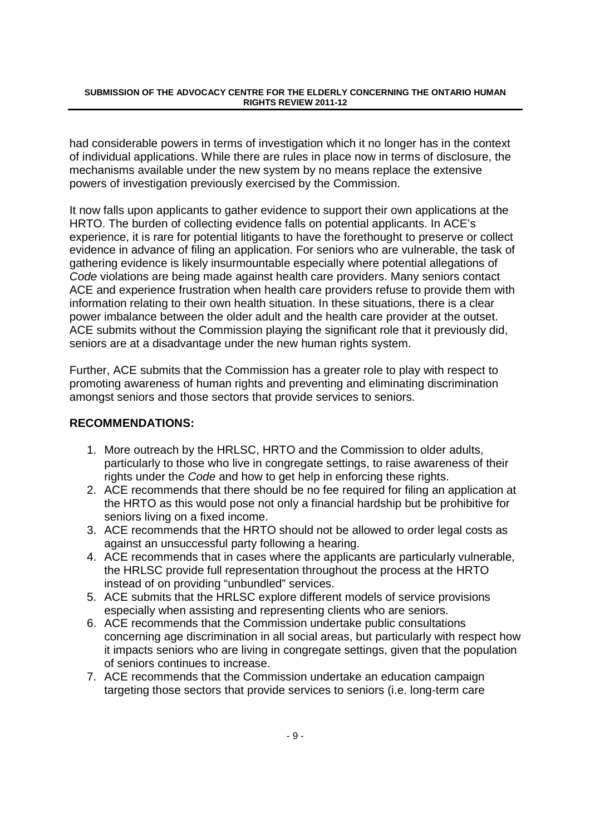had considerable powers in terms of investigation which it no longer has in the context of individual applications. While there are rules in place now in terms of disclosure, the mechanisms available under the new system by no means replace the extensive powers of investigation previously exercised by the Commission.

It now falls upon applicants to gather evidence to support their own applications at the HRTO. The burden of collecting evidence falls on potential applicants. In ACE's experience, it is rare for potential litigants to have the forethought to preserve or collect evidence in advance of filing an application. For seniors who are vulnerable, the task of gathering evidence is likely insurmountable especially where potential allegations of Code violations are being made against health care providers. Many seniors contact ACE and experience frustration when health care providers refuse to provide them with information relating to their own health situation. In these situations, there is a clear power imbalance between the older adult and the health care provider at the outset. ACE submits without the Commission playing the significant role that it previously did, seniors are at a disadvantage under the new human rights system.

Further, ACE submits that the Commission has a greater role to play with respect to promoting awareness of human rights and preventing and eliminating discrimination amongst seniors and those sectors that provide services to seniors.

#### **RECOMMENDATIONS:**

- 1. More outreach by the HRLSC, HRTO and the Commission to older adults, particularly to those who live in congregate settings, to raise awareness of their rights under the Code and how to get help in enforcing these rights.
- 2. ACE recommends that there should be no fee required for filing an application at the HRTO as this would pose not only a financial hardship but be prohibitive for seniors living on a fixed income.
- 3. ACE recommends that the HRTO should not be allowed to order legal costs as against an unsuccessful party following a hearing.
- 4. ACE recommends that in cases where the applicants are particularly vulnerable, the HRLSC provide full representation throughout the process at the HRTO instead of on providing "unbundled" services.
- 5. ACE submits that the HRLSC explore different models of service provisions especially when assisting and representing clients who are seniors.
- 6. ACE recommends that the Commission undertake public consultations concerning age discrimination in all social areas, but particularly with respect how it impacts seniors who are living in congregate settings, given that the population of seniors continues to increase.
- 7. ACE recommends that the Commission undertake an education campaign targeting those sectors that provide services to seniors (i.e. long-term care